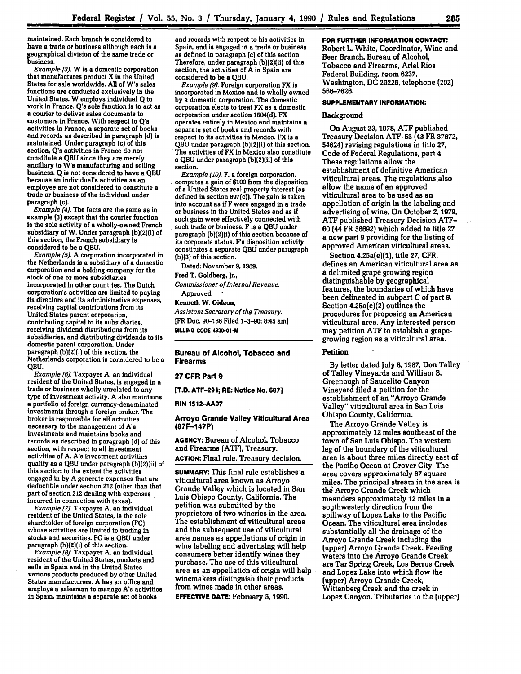maintained. Each branch is considered to have a trade or business although each **is a** geographical division of the same trade or business.

*Example (3).* W is a domestic corporation that manufactures product X in the United States for sale worldwide. **All** of W's sales functions are conducted exclusively in the United States. W employs individual **Q** to work in France. **Q's** sole function is to act as a courier to deliver sales documents to customers in France. With respect to **Q's** activities in France, a separate set of books and records as described in paragraph **[d) is** maintained. Under paragraph (c) of this section, **Q's** activities in France do not constitute a **QBU** since they are merely ancillary to W's manufacturing and selling business. **Q** is not considered to have a **QBU** because an individual's activities as an employee are not considered to constitute a<br>trade or business of the individual under paragraph **[c).**

*Example (4).* The facts are the same as in example **(3)** except that the courier function **Is** the sole activity of a wholly-owned French subsidiary of W. Under paragraph [b)(2)(i) of this section, the French subsidiary is considered to be a **QBU.**

*Example (5).* **A** corporation incorporated in the Netherlands is a subsidiary of a domestic corporation and a holding company for the stock of one or more subsidiaries incorporated in other countries. The Dutch corporation's activities are limited to paying its directors and its administrative expenses, receiving capital contributions from its United States parent corporation, contributing capital to its subsidiaries, receiving dividend distributions from its subsidiaries, and distributing dividends to its domestic parent corporation. Under paragraph (b)(2)(i) of this section, the Netherlands corporation is considered to be a **QBU.**

*Example (6).* Taxpayer A. an individual resident of the United States, is engaged in a trade or business wholly unrelated to any type of investment activity. A also maintains a portfolio of foreign currency-denominated investments through a foreign broker. The broker is responsible for all activities necessary to the management of A's investments and maintains books and records as described in paragraph **(d)** of this section, with respect to all investment activities of **A.** A's investment activities qualify as a **QBU** under paragraph (b)(2)(ii) of this section to the extent the activities engaged in **by A** generate expenses that are deductible under section **212** (other than that part of section 212 dealing with expenses incurred in connection with taxes].

*Example (7).* Taxpayer **A,** an individual resident of the United States, is the sole shareholder of foreign corporation **(FC)** whose activities are limited to trading in stocks and securities. **FC** is a **QBU** under paragraph (b)(2)(i) of this section.

*Example (8).* Taxpayer **A,** an individual resident of the United States, markets and sells in Spain and in the United States various products produced **by** other United States manufacturers. **A** has an office and employs a salesman to manage A's activities in Spain, maintains a separate set of books

and records with respect to his activities in<br>Spain, and is engaged in a trade or business as defined in paragraph (c) of this section. Therefore, under paragraph (b)(2)(ii) of this section, the activities of A in Spain are considered to be a **QBU.**

*Example [9).* Foreign corporation FX is incorporated in Mexico and is wholly owned **by** a domestic corporation. The domestic corporation elects to treat FX as a domestic corporation under section 1504(d). FX operates entirely in Mexico and maintains a separate set of books and records with respect to its activities in Mexico. FX is a **QBU** under paragraph (b){2)(i) of this section. The activities of FX in Mexico also constitute a QBU under paragraph (b)(2)(ii) of this section.

*Example (10).* F, **a** foreign corporation, computes a gain of **\$100** from the disposition of **a** United States real property interest (as defined in section 897 $(c)$ ). The gain is taken<br>into account as if F were engaged in a trade or business in the United States and as if such gain were effectively connected with such trade or business. F is a **QBU** under paragraph (b(2)(i) of this section because of its corporate status. F's disposition activity constitutes a separate **QBU** under paragraph **(b)(3)** of this section.

Dated: November **9, 1989.**

**Fred** T. Goldberg, Jr.,

*Commissioner of Internal Revenue.* Approved:

Kenneth W. Gideon,

*Assistant Secretary of the Treasury.* **[FR** Doc. **90-186** Filed **1-3-90;** 8:45 am] **BILLING CODE 4830-01-M** 

## **Bureau of Alcohol, Tobacco and Firearms**

# **27 CFR Part 9**

**[T.D. ATF-291; RE: Notice No. 687]**

#### **RIN 1512-AA07**

## **Arroyo Grande Valley Viticultural Area (87F-147P)**

**AGENCY: Bureau of** Alcohol, Tobacco and Firearms **(ATF),** Treasury. **ACTION:** Final rule, Treasury decision.

**SUMMARY:** This final rule establishes a viticultural area known as Arroyo Grande Valley which is located in San Luis Obispo County, California. The petition was submitted **by** the proprietors of two wineries in the area. The establishment of viticultural areas and the subsequent use of viticultural area names as appellations of origin in wine labeling and advertising Will help consumers better identify wines they purchase. The use of this viticultural area as an appellation of origin will help winemakers distinguish their products from wines made in other areas. **EFFECTIVE DATE: February 5, 1990.**

## **FOR FURTHER INFORMATION CONTACT:**

Robert L. White, Coordinator, Wine and Beer Branch, Bureau of Alcohol, Tobacco and Firearms, Ariel Rios Federal Building, room **6237,** Washington, **DC 20226,** telephone (202) **566-7626.**

### **SUPPLEMENTARY INFORMATION:**

## **Background**

On August **23, 1978, ATF** published Treasury Decision ATF-53 (43 FR **37672,** 54624) revising regulations in title **27,** Code of Federal Regulations, part **4.** These regulations allow the establishment of definitive American viticultural areas. The regulations also allow the name of an approved viticultural area to be used as an appellation of origin in the labeling and advertising of wine. On October 2, **1979,** ATF published Treasury Decision ATF-**60 (44** FR **56692)** which added to title **27** a new part **9** providing for the listing of approved American viticultural areas.

Section 4.25a(e)(1), title **27,** CFR, defines an American viticultural area as a delimited grape growing region distinguishable by geographical features, the boundaries of which have been delineated in subpart **C** of part **9.** Section 4.25a(e)(2) outlines the procedures for proposing an American viticultural area. Any interested person may petition ATF to establish a grapegrowing region as a viticultural area.

## Petition **-**

By letter dated July **8, 1987,** Don Talley of Talley Vineyards and William S. Greenough of Saucelito Canyon Vineyard filed a petition for the establishment of an "Arroyo Grande Valley" viticultural area in San Luis Obispo County, California.

The Arroyo Grande Valley is approximately 12 miles southeast of the town of San Luis Obispo. The western leg of the boundary of the viticultural area is about three miles directly east of the Pacific Ocean at Grover City. The area covers approximately **67** square miles. The principal stream in the area is the Arroyo Grande Creek which meanders approximately 12 miles in a southwesterly direction from the spillway of Lopez Lake to the Pacific Ocean. The viticultural area includes substantially all the drainage of the Arroyo Grande Creek including the (upper) Arroyo Grande Creek. Feeding waters into the Arroyo Grande Creek are Tar Spring Creek, Los Berros Creek and Lopez Lake into which flow the (upper) Arroyo Grande Creek, Wittenberg Creek and the creek in Lopez Canyon. Tributaries to the (upper)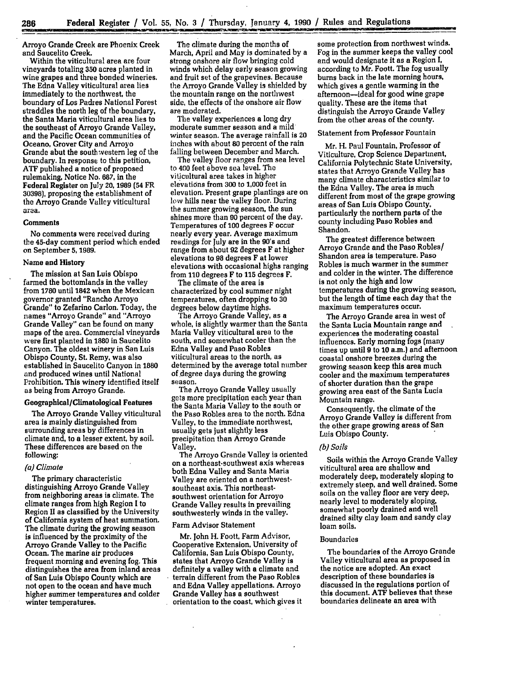Arroyo Grande Creek are Phoenix Creek and Saucelito Creek.

Within the viticultural area are four vineyards totaling **350** acres planted in wine grapes and three bonded wineries. The Edna Valley viticultural area lies immediately to the northwest, the boundary of Los Padres National Forest straddles the north leg of the boundary, the Santa Maria viticultural area lies to the southeast of Arroyo Grande Valley, and the Pacific Ocean communities of Oceano, Grover City and Arroyo Grande abut the southwestern leg of the boundary. In response to this petition, **ATF** published a notice of proposed rulemaking, Notice No. **687,** in the Federal Register on July **20, 1989 (54 FR 30398),** proposing the establishment of the Arroyo Grande Valley viticultural area.

### **Comments**

No comments were received during the 45-day comment period which ended on September 5, **1989.**

#### **Name and History**

The mission at San Luis Obispo farmed the bottomlands in the valley from **1780** until 1842 when the Mexican governor granted "Rancho Arroyo Grande" to Zefarino Carlon. Today, the names "Arroyo Grande" and "Arroyo Grande Valley" can be found on many maps of the area. Commercial vineyards were first planted in **1880** in Saucelito Canyon. The oldest winery in San Luis Obispo County, St. Remy. was also established in Saucelito Canyon in 1880 and produced wines until National Prohibition. This winery identified itself as being from Arroyo Grande.

# Geographical/Climatological Features

The Arroyo Grande Valley viticultural area is mainly distinguished from surrounding areas **by** differences in climate and, to a lesser extent, **by** soil. These differences are based on the following:

## *(a) Climate*

The primary characteristic distinguishing Arroyo Grande Valley from neighboring areas is climate. The climate ranges from high Region I to Region II as classified **by** the University of California system of heat summation. The climate during the growing season is influenced **by** the proximity of the Arroyo Grande Valley to the Pacific Ocean. The marine air produces frequent morning and evening fog. This distinguishes the area from inland areas of San Luis Obispo County which are not open to the ocean and have much higher summer temperatures and colder winter temperatures.

The climate during the months of March, April and May is dominated by a strong onshore air flow bringing cold winds which delay early season growing and fruit set of the grapevines. Because the Arroyo Grande Valley is shielded by the mountain range on the northwest side, the effects of the onshore air flow are moderated.

The valley experiences a long dry moderate summer season and a mild winter season. The average rainfall is **20** inches with about 80 percent of the rain falling between December and March.

The valley floor ranges from sea level to **400** feet above sea level. The viticultural area takes in higher elevations from **300** to **1,000** feet in elevation. Present grape plantings are on low hills near the valley floor. During the summer growing season, the sun shines more than **90** percent of the day. Temperatures of **100** degrees F occur nearly every year. Average maximum readings for July are in the 90's and range from about 92 degrees F at higher elevations to **98** degrees F at lower elevations with occasional highs ranging from **110** degrees F to **115** degrees F.

The climate of the area is characterized by cool summer night temperatures, often dropping to **30** degrees below daytime highs.

The Arroyo Grande Valley, as a whole, is slightly warmer than the Santa Maria Valley viticultural area to the south, and somewhat cooler than the Edna Valley and Paso Robles viticultural areas to the north, as determined by the average total number of degree days during the growing season.

The Arroyo Grande Valley usually gets more precipitation each year than the Santa Maria Valley to the south or the Paso Robles area to the north. Edna Valley, to the immediate northwest, usually gets just slightly less precipitation than Arroyo Grande Valley.

The Arroyo Grande Valley is oriented on a northeast-southwest axis whereas both Edna Valley and Santa Maria Valley are oriented on a northwestsoutheast axis. This northeastsouthwest orientation for Arroyo Grande Valley results in prevailing southwesterly winds in the valley.

### Farm Advisor Statement

Mr. John H. Foott, Farm Advisor, Cooperative Extension, University of California, San Luis Obispo County, states that Arroyo Grande Valley is definitely a valley with a climate and terrain different from the Paso Robles and Edna Valley appellations. Arroyo Grande Valley has a southwest orientation to the coast, which gives it

some protection from northwest winds. Fog in the summer keeps the valley cool and would designate it as a Region I, according to Mr. Foott. The fog usually **burns** back in the late morning hours, which gives a gentle warming in the afternoon-ideal for good wine grape quality. These are the items that distinguish the Arroyo Grande Valley from the other areas of the county.

## Statement from Professor Fountain

Mr. H. Paul Fountain, Professor of Viticulture, Crop Science Department, California Polytechnic State University, states that Arroyo Grande Valley has many climate characteristics similar to the Edna Valley. The area is much different from most of the grape growing areas of San Luis Obispo County, particularly the northern parts of the county including Paso Robles and Shandon.

The greatest difference between Arroyo Grande and the Paso Robles/ Shandon area is temperature. Paso Robles is much warmer in the summer and colder in the winter. The difference is not only the high and low temperatures during the growing season, but the length of time each day that the maximum temperatures occur.

The Arroyo Grande area in west of the Santa Lucia Mountain range and experiences the moderating coastal influences. Early morning fogs (many times up until 9 to **10** a.m.) and afternoon coastal onshore breezes during the growing season keep this area much cooler and the maximum temperatures of shorter duration than the grape growing area east of the Santa Lucia Mountain range.

Consequently, the climate of the Arroyo Grande Valley is different from the other grape growing areas of San Luis Obispo County.

## *(b) Soils*

Soils within the Arroyo Grande Valley viticultural area are shallow and moderately deep, moderately sloping to extremely steep, and well drained. Some soils on the valley floor are very deep. nearly level to moderately sloping, somewhat poorly drained and well drained silty clay loam and sandy clay loam soils.

#### Boundaries

The boundaries of the Arroyo Grande Valley viticultural area as proposed in the notice are adopted. An exact description of these boundaries is discussed in the regulations portion of this document. **ATF** believes that these boundaries delineate an area with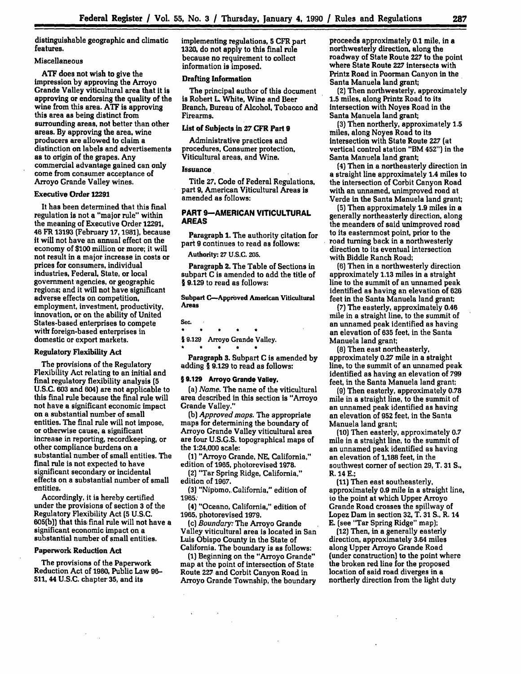distinguishable geographic and climatic features.

## Miscellaneous

**ATF** does not wish to give the impression **by** approving the Arroyo Grande Valley viticultural area that it is approving or endorsing the quality of the wine from this area. **ATF** is approving this area as being distinct from surrounding areas, not better than other areas. **By** approving the area, wine producers are allowed to claim a distinction on labels and advertisements as to origin of the grapes. Any commercial advantage gained can only come from consumer acceptance of Arroyo Grande Valley wines.

### Executive Order **12291**

It has been determined that this final regulation is not a "major rule" within the meaning of Executive Order **12291,** 46 FR **13193** (February **17, 1981),** because it will not have an annual effect on the economy of **\$100** million or more; it will not result in a major increase in costs or prices for consumers, individual industries, Federal, State, or local government agencies, or geographic regions; and **it** will not have significant adverse effects on competition, employment, investment, productivity, innovation, or on the ability of United States-based enterprises to compete with foreign-based enterprises in domestic or export markets.

## Regulatory Flexibility Act

The provisions of the Regulatory Flexibility Act relating to an initial and final regulatory flexibility analysis **(5 U.S.C. 603** and 604) are not applicable to this final rule because the final rule will not have a significant economic impact on a substantial number of small entities. The final rule will not impose, or otherwise cause, a significant increase in reporting, recordkeeping, or other compliance burdens on a substantial number of small entities. The final rule is not expected to have significant secondary or incidental effects on a substantial number of small entities.

Accordingly, it is hereby certified under the provisions of section **3** of the Regulatory Flexibility Act **(5 U.S.C. 605(b))** that this, final rule will not have a significant economic impact on a substantial number of small entities.

## Paperwork Reduction Act

The provisions of the Paperwork Reduction Act of **1980,** Public Law **96- 511, 44 U.S.C.** chapter **35,** and its

implementing regulations, **5** CFR part **1320,** do not apply to this final rule because no requirement to collect information is imposed.

## Drafting Information

The principal author of this document is Robert L. White, Wine and Beer Branch, Bureau of Alcohol, Tobacco and Firearms.

# List of Subjects in **27** CFR Part 9

Administrative practices and procedures, Consumer protection, Viticultural areas, and Wine.

#### **Issuance**

Title **27,** Code of Federal Regulations, part **9,** American Viticultural Areas is amended as follows:

## **PART 9-AMERICAN VITICULTURAL AREAS**

Paragraph **1.** The authority citation for part **9** continues to read as follows:

**Authority: 27 U.S.C. 205.**

Paragraph 2. The Table of Sections in subpart **C** is amended to add the title **of** § **9.129** to read as follows:

**Subpart C-Approved American Viticultural** Areas

### **Sec.**

 $\bullet$  $\bullet$  $\bullet$  $\bullet$ § **9.129** Arroyo Grande Valley.

 $\bullet$  $\bullet$  $\bullet$  $\bullet$ 

Paragraph **3.** Subpart **C** is amended **by** adding § **9.129** to read as follows:

#### **§ 9.129 Arroyo Grande Valley.**

(a) *Name.* The name of the viticultural area described in this section is "Arroyo Grande Valley."

**(b)** *Approved maps.* The appropriate maps for determining the boundary of Arroyo Grande Valley viticultural area are four **U.S.G.S.** topographical maps of the 1:24,000 scale:

**(1)** "Arroyo Grande, **NE,** California," edition of **1965,** photorevised **1978.**

**(2)** "Tar Spring Ridge, California," edition of **1967.**

**(3)** "Nipomo,. California," edition of **1965**

**(4)** "Oceano, California," edition of **1965,** photorevised **1979.**

*(c) Boundary.* The Arroyo Grande Valley viticultural area is located in San Luis Obispo County in the State of California. The boundary is as follows:

**(1)** Beginning on the "Arroyo Grande" map at the point of intersection of State Route **227** and Corbit Canyon Road in Arroyo Grande Township, the boundary proceeds approximately **0.1** mile, in a northwesterly direction, along the roadway of State Route **227** to the point where State Route **227** intersects with Printz Road in Poorman Canyon in the Santa Manuela land grant;

**(2)** Then northwesterly, approximately **1.5** miles, along Printz Road to its intersection with Noyes Road in the Santa Manuela land grant;

**(3)** Then northerly, approximately **1.5** miles, along Noyes Road to its intersection with State Route **227** (at vertical control station "BM **452")** in the Santa Manuela land grant;

**(4)** Then in a northeasterly direction in a straight line approximately **1.4** miles to the intersection of Corbit Canyon Road with an unnamed, unimproved road at Verde in the Santa Manuela land grant;

**(5)** Then approximately **1.9** miles in a generally northeasterly direction, along the meanders of said unimproved road to its easternmost point, prior to the road turning back in a northwesterly direction to its eventual intersection with Biddle Ranch Road;

**(6)** Then in a northwesterly direction approximately **1.13** miles in a straight line to the summit of an unnamed peak identified as having an elevation of **626** feet in the Santa Manuela land grant;

**(7)** The easterly, approximately 0.46 mile in a straight line, to the summit of an unnamed peak identified as having an elevation of **635** feet, in the Santa Manuela land grant;

**(8)** Then east northeasterly, approximately **0.27** mile in a straight line, to the summit of an unnamed peak identified as having an elevation of **799** feet, in the Santa Manuela land grant;

**(9)** Then easterly, approximately **0.78** mile in a straight line, to the summit of an unnamed peak identified as having an elevation of **952** feet, in the Santa Manuela land grant;

**(10)** Then easterly, approximately **0.7** mile in a straight line, to the summit of an unnamed peak identified as having an elevation of **1,188** feet, in the southwest corner of section **29,** T. **31 S.,** R. **14 E.;**

**(11)** Then east southeasterly, approximately **0.9** mile in a straight line, to the point at which Upper Arroyo Grande Road crosses the spillway of Lopez Dam in section **32,** T. **31 S.,** R. 14 E. (see "Tar Spring Ridge" map);

**(12)** Then, in a generally easterly direction, approximately **3.64** miles along Upper Arroyo Grande Road (under construction) to the point where the broken red line for the proposed location of said road diverges in a northerly direction from the light duty